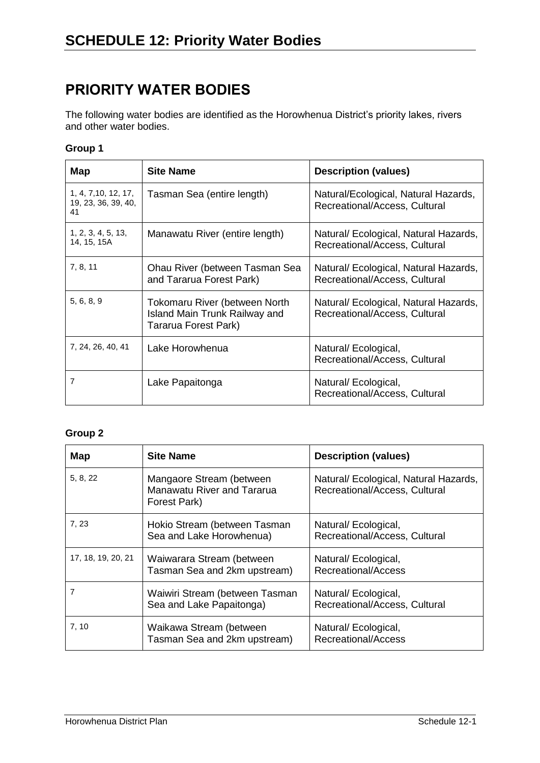## **PRIORITY WATER BODIES**

The following water bodies are identified as the Horowhenua District's priority lakes, rivers and other water bodies.

## **Group 1**

| Map                                               | <b>Site Name</b>                                                                              | <b>Description (values)</b>                                            |
|---------------------------------------------------|-----------------------------------------------------------------------------------------------|------------------------------------------------------------------------|
| 1, 4, 7, 10, 12, 17,<br>19, 23, 36, 39, 40,<br>41 | Tasman Sea (entire length)                                                                    | Natural/Ecological, Natural Hazards,<br>Recreational/Access, Cultural  |
| 1, 2, 3, 4, 5, 13,<br>14, 15, 15A                 | Manawatu River (entire length)                                                                | Natural/ Ecological, Natural Hazards,<br>Recreational/Access, Cultural |
| 7, 8, 11                                          | Ohau River (between Tasman Sea<br>and Tararua Forest Park)                                    | Natural/ Ecological, Natural Hazards,<br>Recreational/Access, Cultural |
| 5, 6, 8, 9                                        | Tokomaru River (between North<br><b>Island Main Trunk Railway and</b><br>Tararua Forest Park) | Natural/ Ecological, Natural Hazards,<br>Recreational/Access, Cultural |
| 7, 24, 26, 40, 41                                 | Lake Horowhenua                                                                               | Natural/Ecological,<br>Recreational/Access, Cultural                   |
| 7                                                 | Lake Papaitonga                                                                               | Natural/Ecological,<br>Recreational/Access, Cultural                   |

## **Group 2**

| Map                | <b>Site Name</b>                                                              | <b>Description (values)</b>                                            |
|--------------------|-------------------------------------------------------------------------------|------------------------------------------------------------------------|
| 5, 8, 22           | Mangaore Stream (between<br><b>Manawatu River and Tararua</b><br>Forest Park) | Natural/ Ecological, Natural Hazards,<br>Recreational/Access, Cultural |
| 7, 23              | Hokio Stream (between Tasman<br>Sea and Lake Horowhenua)                      | Natural/Ecological,<br>Recreational/Access, Cultural                   |
| 17, 18, 19, 20, 21 | Waiwarara Stream (between<br>Tasman Sea and 2km upstream)                     | Natural/ Ecological,<br>Recreational/Access                            |
| 7                  | Waiwiri Stream (between Tasman<br>Sea and Lake Papaitonga)                    | Natural/Ecological,<br>Recreational/Access, Cultural                   |
| 7,10               | Waikawa Stream (between<br>Tasman Sea and 2km upstream)                       | Natural/ Ecological,<br><b>Recreational/Access</b>                     |